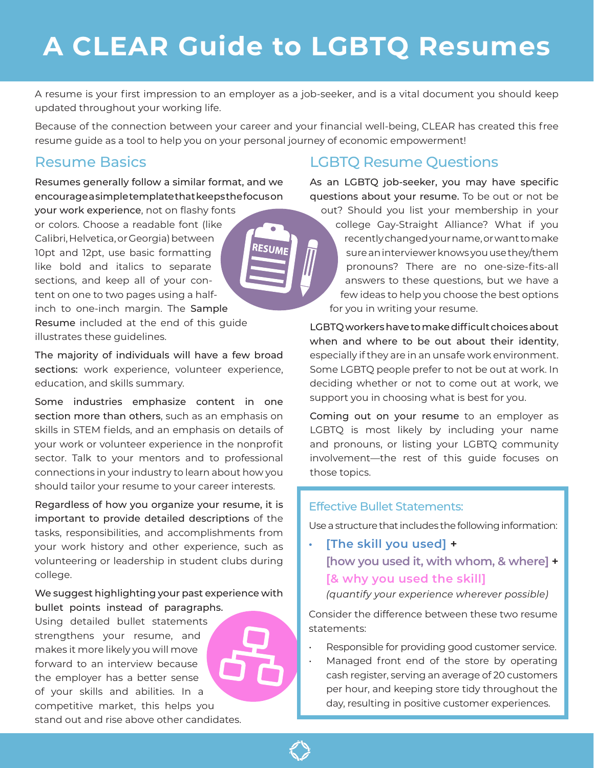# **A CLEAR Guide to LGBTQ Resumes**

A resume is your first impression to an employer as a job-seeker, and is a vital document you should keep updated throughout your working life.

Because of the connection between your career and your financial well-being, CLEAR has created this free resume guide as a tool to help you on your personal journey of economic empowerment!

**RESUMI** 

#### Resume Basics

Resumes generally follow a similar format, and we encourage a simple template that keeps the focus on

your work experience, not on flashy fonts or colors. Choose a readable font (like Calibri, Helvetica, or Georgia) between 10pt and 12pt, use basic formatting like bold and italics to separate sections, and keep all of your content on one to two pages using a halfinch to one-inch margin. The Sample Resume included at the end of this guide illustrates these guidelines.

The majority of individuals will have a few broad sections: work experience, volunteer experience, education, and skills summary.

Some industries emphasize content in one section more than others, such as an emphasis on skills in STEM fields, and an emphasis on details of your work or volunteer experience in the nonprofit sector. Talk to your mentors and to professional connections in your industry to learn about how you should tailor your resume to your career interests.

Regardless of how you organize your resume, it is important to provide detailed descriptions of the tasks, responsibilities, and accomplishments from your work history and other experience, such as volunteering or leadership in student clubs during college.

#### We suggest highlighting your past experience with bullet points instead of paragraphs.

Using detailed bullet statements strengthens your resume, and makes it more likely you will move forward to an interview because the employer has a better sense of your skills and abilities. In a competitive market, this helps you stand out and rise above other candidates.



As an LGBTQ job-seeker, you may have specific questions about your resume. To be out or not be out? Should you list your membership in your

college Gay-Straight Alliance? What if you recently changed your name, or want to make sure an interviewer knows you use they/them pronouns? There are no one-size-fits-all answers to these questions, but we have a few ideas to help you choose the best options for you in writing your resume.

LGBTQ workers have to make difficult choices about when and where to be out about their identity, especially if they are in an unsafe work environment. Some LGBTQ people prefer to not be out at work. In deciding whether or not to come out at work, we support you in choosing what is best for you.

Coming out on your resume to an employer as LGBTQ is most likely by including your name and pronouns, or listing your LGBTQ community involvement—the rest of this guide focuses on those topics.

#### Effective Bullet Statements:

Use a structure that includes the following information:

**• [The skill you used] + [how you used it, with whom, & where] + [& why you used the skill]** *(quantify your experience wherever possible)*

Consider the difference between these two resume statements:

- Responsible for providing good customer service.
- Managed front end of the store by operating cash register, serving an average of 20 customers per hour, and keeping store tidy throughout the day, resulting in positive customer experiences.

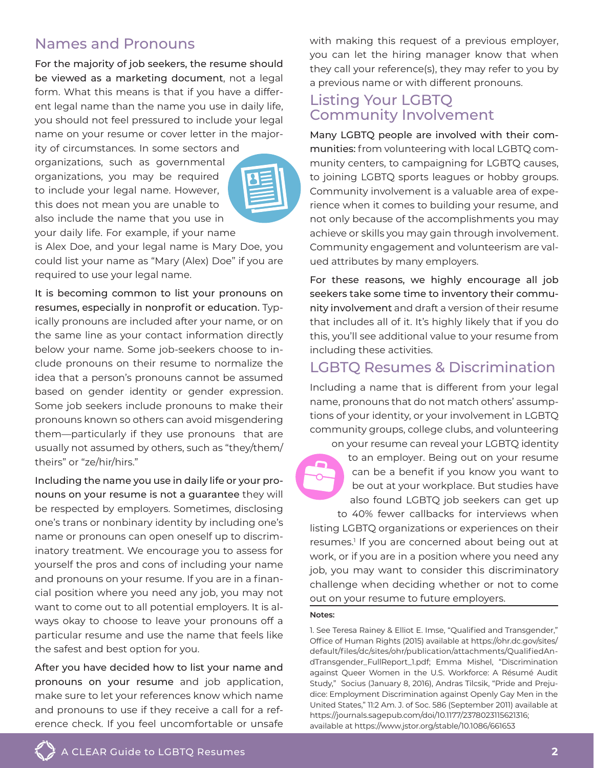## Names and Pronouns

For the majority of job seekers, the resume should be viewed as a marketing document, not a legal form. What this means is that if you have a different legal name than the name you use in daily life, you should not feel pressured to include your legal name on your resume or cover letter in the major-

ity of circumstances. In some sectors and organizations, such as governmental organizations, you may be required to include your legal name. However, this does not mean you are unable to also include the name that you use in your daily life. For example, if your name



is Alex Doe, and your legal name is Mary Doe, you could list your name as "Mary (Alex) Doe" if you are required to use your legal name.

It is becoming common to list your pronouns on resumes, especially in nonprofit or education. Typically pronouns are included after your name, or on the same line as your contact information directly below your name. Some job-seekers choose to include pronouns on their resume to normalize the idea that a person's pronouns cannot be assumed based on gender identity or gender expression. Some job seekers include pronouns to make their pronouns known so others can avoid misgendering them—particularly if they use pronouns that are usually not assumed by others, such as "they/them/ theirs" or "ze/hir/hirs."

Including the name you use in daily life or your pronouns on your resume is not a guarantee they will be respected by employers. Sometimes, disclosing one's trans or nonbinary identity by including one's name or pronouns can open oneself up to discriminatory treatment. We encourage you to assess for yourself the pros and cons of including your name and pronouns on your resume. If you are in a financial position where you need any job, you may not want to come out to all potential employers. It is always okay to choose to leave your pronouns off a particular resume and use the name that feels like the safest and best option for you.

After you have decided how to list your name and pronouns on your resume and job application, make sure to let your references know which name and pronouns to use if they receive a call for a reference check. If you feel uncomfortable or unsafe

with making this request of a previous employer, you can let the hiring manager know that when they call your reference(s), they may refer to you by a previous name or with different pronouns.

#### Listing Your LGBTQ Community Involvement

Many LGBTQ people are involved with their communities: from volunteering with local LGBTQ community centers, to campaigning for LGBTQ causes, to joining LGBTQ sports leagues or hobby groups. Community involvement is a valuable area of experience when it comes to building your resume, and not only because of the accomplishments you may achieve or skills you may gain through involvement. Community engagement and volunteerism are valued attributes by many employers.

For these reasons, we highly encourage all job seekers take some time to inventory their community involvement and draft a version of their resume that includes all of it. It's highly likely that if you do this, you'll see additional value to your resume from including these activities.

### LGBTQ Resumes & Discrimination

Including a name that is different from your legal name, pronouns that do not match others' assumptions of your identity, or your involvement in LGBTQ community groups, college clubs, and volunteering on your resume can reveal your LGBTQ identity

to an employer. Being out on your resume can be a benefit if you know you want to be out at your workplace. But studies have also found LGBTQ job seekers can get up

to 40% fewer callbacks for interviews when listing LGBTQ organizations or experiences on their resumes.<sup>1</sup> If you are concerned about being out at work, or if you are in a position where you need any job, you may want to consider this discriminatory challenge when deciding whether or not to come out on your resume to future employers.

#### **Notes:**

1. See Teresa Rainey & Elliot E. Imse, "Qualified and Transgender," Office of Human Rights (2015) available at https://ohr.dc.gov/sites/ default/files/dc/sites/ohr/publication/attachments/QualifiedAndTransgender\_FullReport\_1.pdf; Emma Mishel, "Discrimination against Queer Women in the U.S. Workforce: A Résumé Audit Study," Socius (January 8, 2016), Andras Tilcsik, "Pride and Prejudice: Employment Discrimination against Openly Gay Men in the United States," 11:2 Am. J. of Soc. 586 (September 2011) available at https://journals.sagepub.com/doi/10.1177/2378023115621316; available at https://www.jstor.org/stable/10.1086/661653